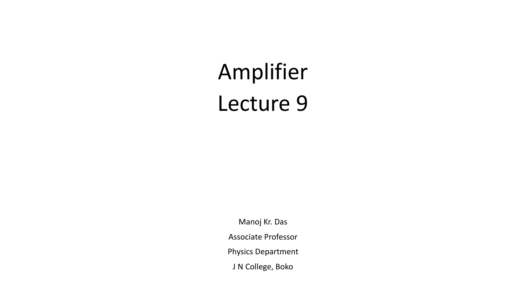## Amplifier Lecture 9

Manoj Kr. Das Associate Professor Physics Department J N College, Boko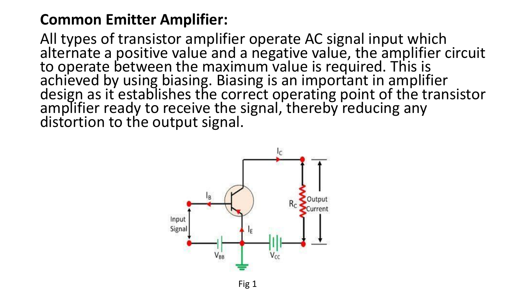## **Common Emitter Amplifier:**

All types of transistor amplifier operate AC signal input which alternate a positive value and a negative value, the amplifier circuit to operate between the maximum value is required. This is achieved by using biasing. Biasing is an important in amplifier design as it establishes the correct operating point of the transistor amplifier ready to receive the signal, thereby reducing any distortion to the output signal.

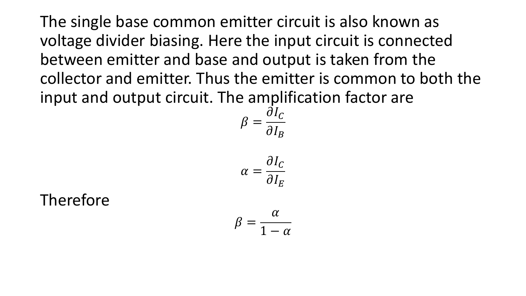The single base common emitter circuit is also known as voltage divider biasing. Here the input circuit is connected between emitter and base and output is taken from the collector and emitter. Thus the emitter is common to both the input and output circuit. The amplification factor are

$$
\beta = \frac{\partial I_C}{\partial I_B}
$$

 $\alpha =$  $\partial I_C$  $\partial I_E$ 

Therefore

$$
\beta = \frac{\alpha}{1 - \alpha}
$$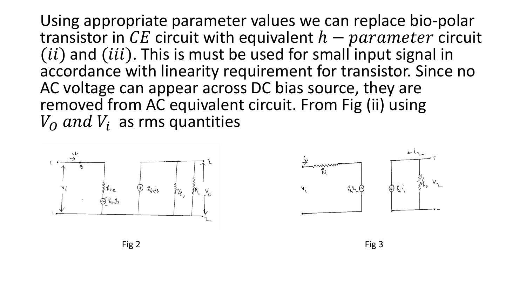Using appropriate parameter values we can replace bio-polar transistor in  $CE$  circuit with equivalent  $h$  –  $parameter$  circuit  $(ii)$  and  $(iii)$ . This is must be used for small input signal in accordance with linearity requirement for transistor. Since no AC voltage can appear across DC bias source, they are removed from AC equivalent circuit. From Fig (ii) using  $V<sub>O</sub>$  and  $V<sub>i</sub>$  as rms quantities







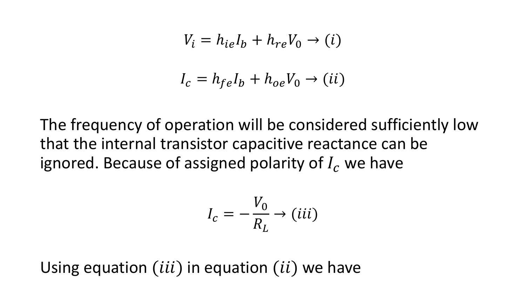$$
V_i = h_{ie}I_b + h_{re}V_0 \rightarrow (i)
$$

$$
I_c = h_{fe}I_b + h_{oe}V_0 \rightarrow (ii)
$$

The frequency of operation will be considered sufficiently low that the internal transistor capacitive reactance can be ignored. Because of assigned polarity of  $I_c$  we have

$$
I_c = -\frac{V_0}{R_L} \rightarrow (iii)
$$

Using equation  $(iii)$  in equation  $(ii)$  we have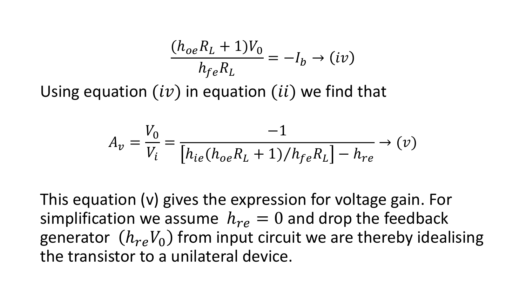$$
\frac{(h_{oe}R_L + 1)V_0}{h_{fe}R_L} = -I_b \rightarrow (iv)
$$

Using equation  $(iv)$  in equation  $(ii)$  we find that

$$
A_{\nu} = \frac{V_0}{V_i} = \frac{-1}{[h_{ie}(h_{oe}R_L + 1)/h_{fe}R_L] - h_{re}} \to (\nu)
$$

This equation (v) gives the expression for voltage gain. For simplification we assume  $h_{re} = 0$  and drop the feedback generator  $(h_{re}V_0)$  from input circuit we are thereby idealising the transistor to a unilateral device.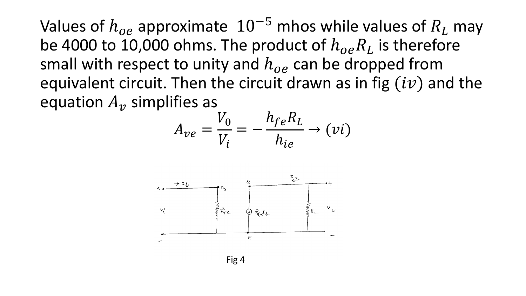Values of  $h_{oe}$  approximate  $10^{-5}$  mhos while values of  $R_L$  may be 4000 to 10,000 ohms. The product of  $h_{oe}R_L$  is therefore small with respect to unity and  $h_{\alpha e}$  can be dropped from equivalent circuit. Then the circuit drawn as in fig  $(iv)$  and the equation  $A_{\nu}$  simplifies as

$$
A_{ve} = \frac{V_0}{V_i} = -\frac{h_{fe}R_L}{h_{ie}} \rightarrow (vi)
$$



Fig 4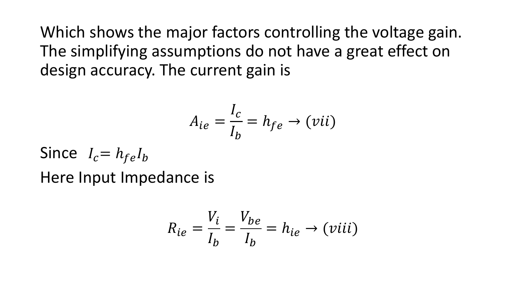Which shows the major factors controlling the voltage gain. The simplifying assumptions do not have a great effect on design accuracy. The current gain is

$$
A_{ie} = \frac{I_c}{I_b} = h_{fe} \rightarrow (vii)
$$

Since  $I_c = h_{fe}I_b$ Here Input Impedance is

$$
R_{ie} = \frac{V_i}{I_b} = \frac{V_{be}}{I_b} = h_{ie} \rightarrow (viii)
$$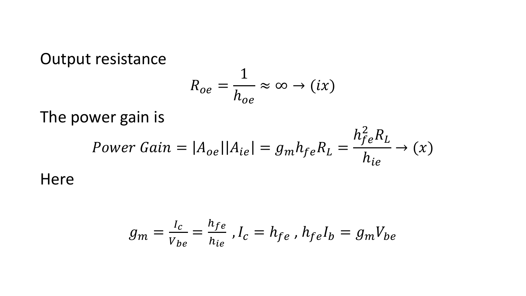Output resistance

$$
R_{oe} = \frac{1}{h_{oe}} \approx \infty \to (ix)
$$

The power gain is

$$
Power\ Gain = |A_{oe}||A_{ie}| = g_m h_{fe} R_L = \frac{h_{fe}^2 R_L}{h_{ie}} \rightarrow (x)
$$

Here

$$
g_m = \frac{I_c}{V_{be}} = \frac{h_{fe}}{h_{ie}}
$$
,  $I_c = h_{fe}$ ,  $h_{fe}I_b = g_mV_{be}$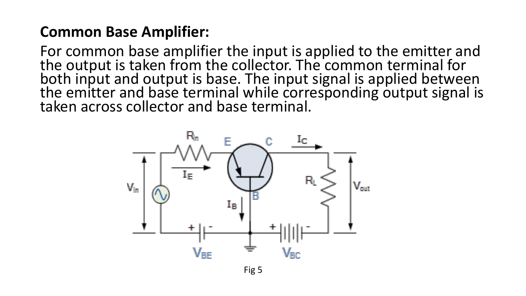## **Common Base Amplifier:**

For common base amplifier the input is applied to the emitter and the output is taken from the collector. The common terminal for both input and output is base. The input signal is applied between the emitter and base terminal while corresponding output signal is taken across collector and base terminal.

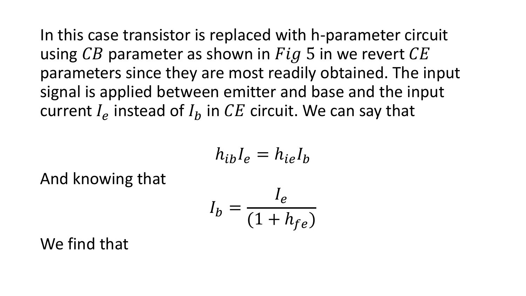In this case transistor is replaced with h-parameter circuit using  $CB$  parameter as shown in  $Fig 5$  in we revert  $CE$ parameters since they are most readily obtained. The input signal is applied between emitter and base and the input current  $I_e$  instead of  $I_b$  in  $CE$  circuit. We can say that

$$
h_{ib}I_e = h_{ie}I_b
$$

And knowing that

$$
I_b = \frac{I_e}{(1 + h_{fe})}
$$

We find that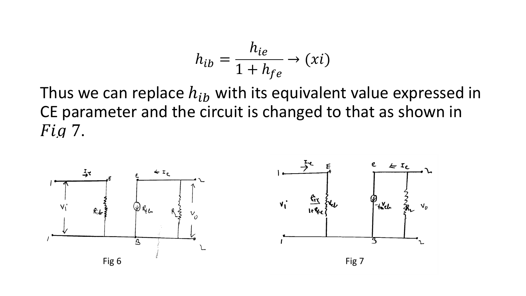$$
h_{ib} = \frac{h_{ie}}{1 + h_{fe}} \rightarrow (xi)
$$

Thus we can replace  $h_{ib}$  with its equivalent value expressed in CE parameter and the circuit is changed to that as shown in *Fig* 7.

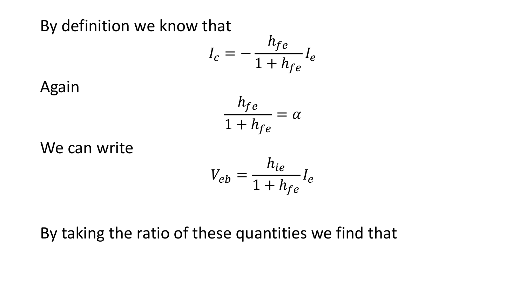By definition we know that

$$
I_c = -\frac{h_{fe}}{1 + h_{fe}} I_e
$$

Again

$$
\frac{h_{fe}}{1+h_{fe}}=\alpha
$$

We can write

$$
V_{eb} = \frac{h_{ie}}{1 + h_{fe}} I_e
$$

## By taking the ratio of these quantities we find that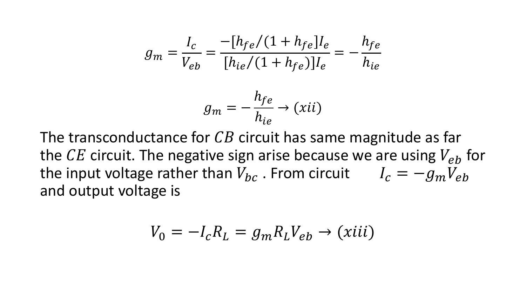$$
g_m = \frac{I_c}{V_{eb}} = \frac{-[h_{fe}/(1+h_{fe})]I_e}{[h_{ie}/(1+h_{fe})]I_e} = -\frac{h_{fe}}{h_{ie}}
$$

$$
g_m = -\frac{h_{fe}}{h_{ie}} \rightarrow (xii)
$$

The transconductance for  $CB$  circuit has same magnitude as far the CE circuit. The negative sign arise because we are using  $V_{eh}$  for the input voltage rather than  $V_{bc}$ . From circuit  $I_c = -g_m V_{eb}$ and output voltage is

$$
V_0 = -I_c R_L = g_m R_L V_{eb} \rightarrow (xiii)
$$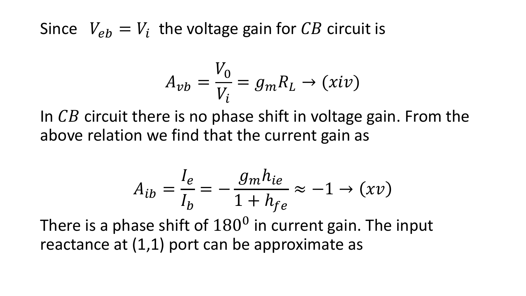Since  $V_{eb} = V_i$  the voltage gain for CB circuit is

$$
A_{vb} = \frac{V_0}{V_i} = g_m R_L \rightarrow (xiv)
$$

In  $CB$  circuit there is no phase shift in voltage gain. From the above relation we find that the current gain as

$$
A_{ib} = \frac{I_e}{I_b} = -\frac{g_m h_{ie}}{1 + h_{fe}} \approx -1 \rightarrow (xv)
$$

There is a phase shift of  $180^0$  in current gain. The input reactance at  $(1,1)$  port can be approximate as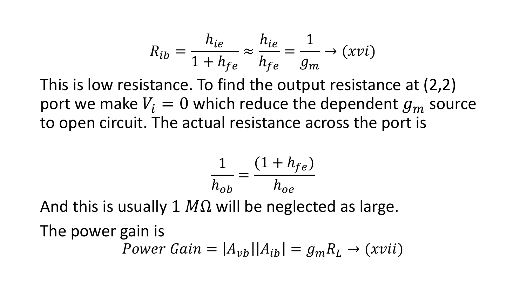$$
R_{ib} = \frac{h_{ie}}{1 + h_{fe}} \approx \frac{h_{ie}}{h_{fe}} = \frac{1}{g_m} \rightarrow (xvi)
$$

This is low resistance. To find the output resistance at (2,2) port we make  $V_i = 0$  which reduce the dependent  $g_m$  source to open circuit. The actual resistance across the port is

$$
\frac{1}{h_{ob}} = \frac{(1 + h_{fe})}{h_{oe}}
$$

And this is usually 1  $M\Omega$  will be neglected as large.

The power gain is

Power Gain =  $|A_{\nu h}| |A_{ih}| = g_m R_l \rightarrow (xvii)$